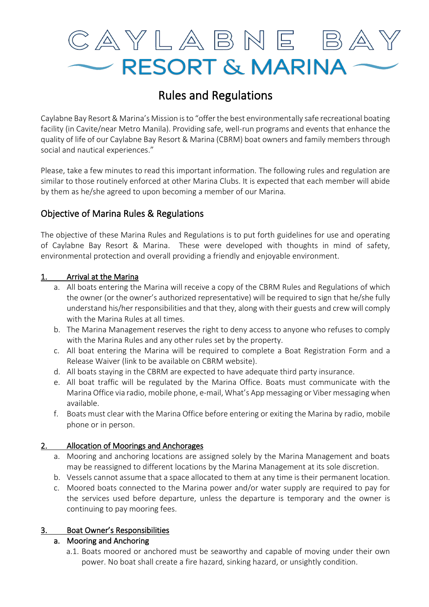

# Rules and Regulations

Caylabne Bay Resort & Marina's Mission is to "offer the best environmentally safe recreational boating facility (in Cavite/near Metro Manila). Providing safe, well-run programs and events that enhance the quality of life of our Caylabne Bay Resort & Marina (CBRM) boat owners and family members through social and nautical experiences."

Please, take a few minutes to read this important information. The following rules and regulation are similar to those routinely enforced at other Marina Clubs. It is expected that each member will abide by them as he/she agreed to upon becoming a member of our Marina.

# Objective of Marina Rules & Regulations

The objective of these Marina Rules and Regulations is to put forth guidelines for use and operating of Caylabne Bay Resort & Marina. These were developed with thoughts in mind of safety, environmental protection and overall providing a friendly and enjoyable environment.

# 1. Arrival at the Marina

- a. All boats entering the Marina will receive a copy of the CBRM Rules and Regulations of which the owner (or the owner's authorized representative) will be required to sign that he/she fully understand his/her responsibilities and that they, along with their guests and crew will comply with the Marina Rules at all times.
- b. The Marina Management reserves the right to deny access to anyone who refuses to comply with the Marina Rules and any other rules set by the property.
- c. All boat entering the Marina will be required to complete a Boat Registration Form and a Release Waiver (link to be available on CBRM website).
- d. All boats staying in the CBRM are expected to have adequate third party insurance.
- e. All boat traffic will be regulated by the Marina Office. Boats must communicate with the Marina Office via radio, mobile phone, e-mail, What's App messaging or Viber messaging when available.
- f. Boats must clear with the Marina Office before entering or exiting the Marina by radio, mobile phone or in person.

# 2. Allocation of Moorings and Anchorages

- a. Mooring and anchoring locations are assigned solely by the Marina Management and boats may be reassigned to different locations by the Marina Management at its sole discretion.
- b. Vessels cannot assume that a space allocated to them at any time is their permanent location.
- c. Moored boats connected to the Marina power and/or water supply are required to pay for the services used before departure, unless the departure is temporary and the owner is continuing to pay mooring fees.

# 3. Boat Owner's Responsibilities

# a. Mooring and Anchoring

a.1. Boats moored or anchored must be seaworthy and capable of moving under their own power. No boat shall create a fire hazard, sinking hazard, or unsightly condition.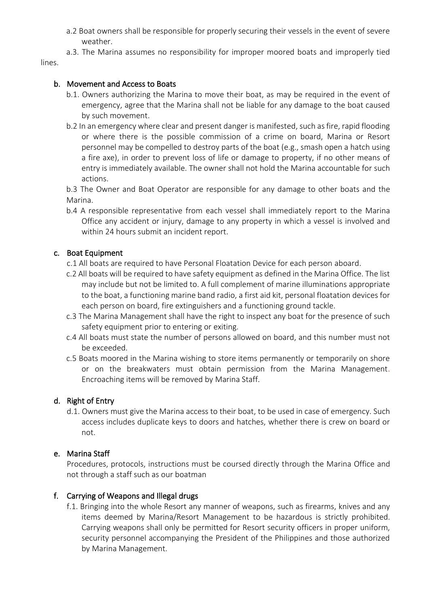- a.2 Boat owners shall be responsible for properly securing their vessels in the event of severe weather.
- a.3. The Marina assumes no responsibility for improper moored boats and improperly tied lines.

### b. Movement and Access to Boats

- b.1. Owners authorizing the Marina to move their boat, as may be required in the event of emergency, agree that the Marina shall not be liable for any damage to the boat caused by such movement.
- b.2 In an emergency where clear and present danger is manifested, such as fire, rapid flooding or where there is the possible commission of a crime on board, Marina or Resort personnel may be compelled to destroy parts of the boat (e.g., smash open a hatch using a fire axe), in order to prevent loss of life or damage to property, if no other means of entry is immediately available. The owner shall not hold the Marina accountable for such actions.

b.3 The Owner and Boat Operator are responsible for any damage to other boats and the Marina.

b.4 A responsible representative from each vessel shall immediately report to the Marina Office any accident or injury, damage to any property in which a vessel is involved and within 24 hours submit an incident report.

### c. Boat Equipment

- c.1 All boats are required to have Personal Floatation Device for each person aboard.
- c.2 All boats will be required to have safety equipment as defined in the Marina Office. The list may include but not be limited to. A full complement of marine illuminations appropriate to the boat, a functioning marine band radio, a first aid kit, personal floatation devices for each person on board, fire extinguishers and a functioning ground tackle.
- c.3 The Marina Management shall have the right to inspect any boat for the presence of such safety equipment prior to entering or exiting.
- c.4 All boats must state the number of persons allowed on board, and this number must not be exceeded.
- c.5 Boats moored in the Marina wishing to store items permanently or temporarily on shore or on the breakwaters must obtain permission from the Marina Management. Encroaching items will be removed by Marina Staff.

# d. Right of Entry

d.1. Owners must give the Marina access to their boat, to be used in case of emergency. Such access includes duplicate keys to doors and hatches, whether there is crew on board or not.

### e. Marina Staff

Procedures, protocols, instructions must be coursed directly through the Marina Office and not through a staff such as our boatman

### f. Carrying of Weapons and Illegal drugs

f.1. Bringing into the whole Resort any manner of weapons, such as firearms, knives and any items deemed by Marina/Resort Management to be hazardous is strictly prohibited. Carrying weapons shall only be permitted for Resort security officers in proper uniform, security personnel accompanying the President of the Philippines and those authorized by Marina Management.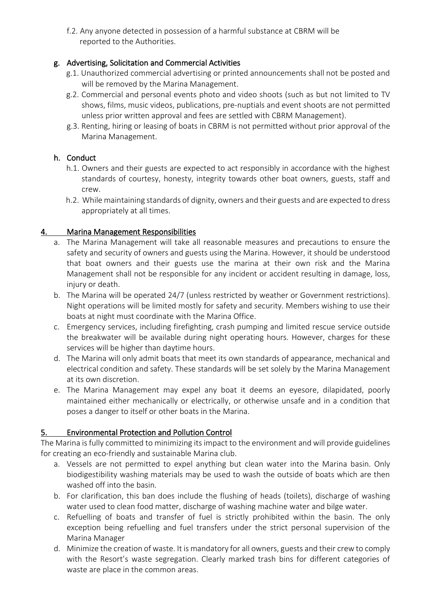f.2. Any anyone detected in possession of a harmful substance at CBRM will be reported to the Authorities.

# g. Advertising, Solicitation and Commercial Activities

- g.1. Unauthorized commercial advertising or printed announcements shall not be posted and will be removed by the Marina Management.
- g.2. Commercial and personal events photo and video shoots (such as but not limited to TV shows, films, music videos, publications, pre-nuptials and event shoots are not permitted unless prior written approval and fees are settled with CBRM Management).
- g.3. Renting, hiring or leasing of boats in CBRM is not permitted without prior approval of the Marina Management.

# h. Conduct

- h.1. Owners and their guests are expected to act responsibly in accordance with the highest standards of courtesy, honesty, integrity towards other boat owners, guests, staff and crew.
- h.2. While maintaining standards of dignity, owners and their guests and are expected to dress appropriately at all times.

# 4. Marina Management Responsibilities

- a. The Marina Management will take all reasonable measures and precautions to ensure the safety and security of owners and guests using the Marina. However, it should be understood that boat owners and their guests use the marina at their own risk and the Marina Management shall not be responsible for any incident or accident resulting in damage, loss, injury or death.
- b. The Marina will be operated 24/7 (unless restricted by weather or Government restrictions). Night operations will be limited mostly for safety and security. Members wishing to use their boats at night must coordinate with the Marina Office.
- c. Emergency services, including firefighting, crash pumping and limited rescue service outside the breakwater will be available during night operating hours. However, charges for these services will be higher than daytime hours.
- d. The Marina will only admit boats that meet its own standards of appearance, mechanical and electrical condition and safety. These standards will be set solely by the Marina Management at its own discretion.
- e. The Marina Management may expel any boat it deems an eyesore, dilapidated, poorly maintained either mechanically or electrically, or otherwise unsafe and in a condition that poses a danger to itself or other boats in the Marina.

# 5. Environmental Protection and Pollution Control

The Marina is fully committed to minimizing its impact to the environment and will provide guidelines for creating an eco-friendly and sustainable Marina club.

- a. Vessels are not permitted to expel anything but clean water into the Marina basin. Only biodigestibility washing materials may be used to wash the outside of boats which are then washed off into the basin.
- b. For clarification, this ban does include the flushing of heads (toilets), discharge of washing water used to clean food matter, discharge of washing machine water and bilge water.
- c. Refuelling of boats and transfer of fuel is strictly prohibited within the basin. The only exception being refuelling and fuel transfers under the strict personal supervision of the Marina Manager
- d. Minimize the creation of waste. It is mandatory for all owners, guests and their crew to comply with the Resort's waste segregation. Clearly marked trash bins for different categories of waste are place in the common areas.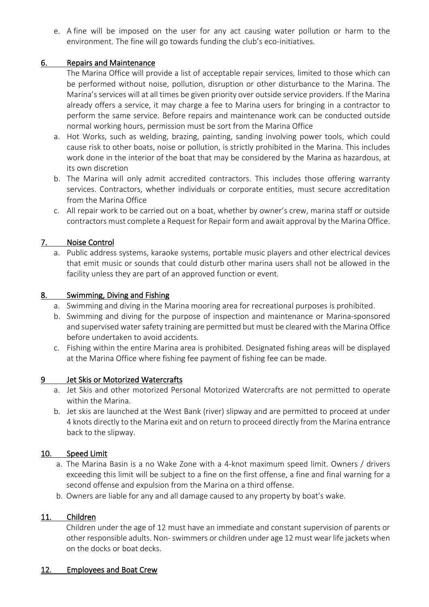e. A fine will be imposed on the user for any act causing water pollution or harm to the environment. The fine will go towards funding the club's eco-initiatives.

# 6. Repairs and Maintenance

The Marina Office will provide a list of acceptable repair services, limited to those which can be performed without noise, pollution, disruption or other disturbance to the Marina. The Marina's services will at all times be given priority over outside service providers. If the Marina already offers a service, it may charge a fee to Marina users for bringing in a contractor to perform the same service. Before repairs and maintenance work can be conducted outside normal working hours, permission must be sort from the Marina Office

- a. Hot Works, such as welding, brazing, painting, sanding involving power tools, which could cause risk to other boats, noise or pollution, is strictly prohibited in the Marina. This includes work done in the interior of the boat that may be considered by the Marina as hazardous, at its own discretion
- b. The Marina will only admit accredited contractors. This includes those offering warranty services. Contractors, whether individuals or corporate entities, must secure accreditation from the Marina Office
- c. All repair work to be carried out on a boat, whether by owner's crew, marina staff or outside contractors must complete a Request for Repair form and await approval by the Marina Office.

# 7. Noise Control

a. Public address systems, karaoke systems, portable music players and other electrical devices that emit music or sounds that could disturb other marina users shall not be allowed in the facility unless they are part of an approved function or event.

### 8. Swimming, Diving and Fishing

- a. Swimming and diving in the Marina mooring area for recreational purposes is prohibited.
- b. Swimming and diving for the purpose of inspection and maintenance or Marina-sponsored and supervised water safety training are permitted but must be cleared with the Marina Office before undertaken to avoid accidents.
- c. Fishing within the entire Marina area is prohibited. Designated fishing areas will be displayed at the Marina Office where fishing fee payment of fishing fee can be made.

### 9 Jet Skis or Motorized Watercrafts

- a. Jet Skis and other motorized Personal Motorized Watercrafts are not permitted to operate within the Marina.
- b. Jet skis are launched at the West Bank (river) slipway and are permitted to proceed at under 4 knots directly to the Marina exit and on return to proceed directly from the Marina entrance back to the slipway.

### 10. Speed Limit

- a. The Marina Basin is a no Wake Zone with a 4-knot maximum speed limit. Owners / drivers exceeding this limit will be subject to a fine on the first offense, a fine and final warning for a second offense and expulsion from the Marina on a third offense.
- b. Owners are liable for any and all damage caused to any property by boat's wake.

### 11. Children

Children under the age of 12 must have an immediate and constant supervision of parents or other responsible adults. Non- swimmers or children under age 12 must wear life jackets when on the docks or boat decks.

### 12. Employees and Boat Crew